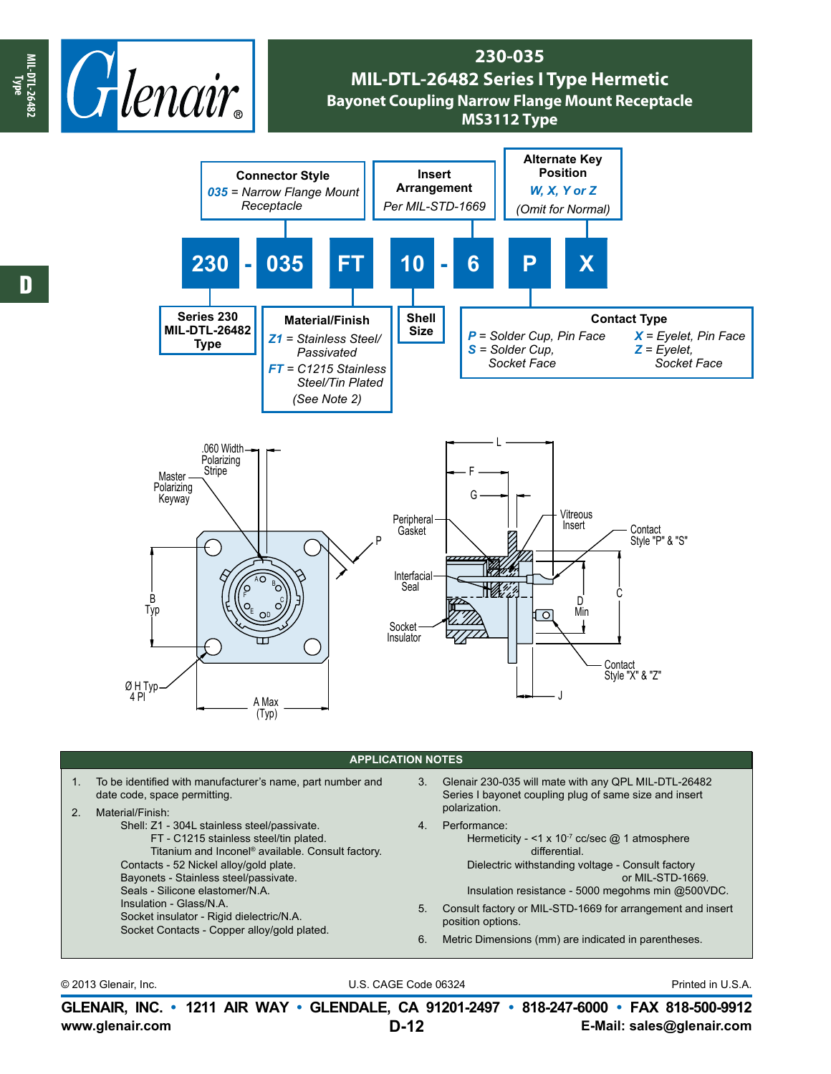

## **230-035 MIL-DTL-26482 Series I Type Hermetic Bayonet Coupling Narrow Flange Mount Receptacle MS3112 Type**



## **APPLICATION NOTES**

| 2 <sub>1</sub> | To be identified with manufacturer's name, part number and<br>date code, space permitting.<br>Material/Finish:<br>Shell: Z1 - 304L stainless steel/passivate.<br>FT - C1215 stainless steel/tin plated.<br>Titanium and Inconel® available. Consult factory. | 3.<br>4. | Glenair 230-035 will mate with any QPL MIL-DTL-26482<br>Series I bayonet coupling plug of same size and insert<br>polarization.<br>Performance:<br>Hermeticity - <1 x $10^{-7}$ cc/sec @ 1 atmosphere                                                                                  |  |  |  |
|----------------|--------------------------------------------------------------------------------------------------------------------------------------------------------------------------------------------------------------------------------------------------------------|----------|----------------------------------------------------------------------------------------------------------------------------------------------------------------------------------------------------------------------------------------------------------------------------------------|--|--|--|
|                | Contacts - 52 Nickel alloy/gold plate.<br>Bayonets - Stainless steel/passivate.<br>Seals - Silicone elastomer/N.A.<br>Insulation - Glass/N.A.<br>Socket insulator - Rigid dielectric/N.A.<br>Socket Contacts - Copper alloy/gold plated.                     | 5.<br>6. | differential.<br>Dielectric withstanding voltage - Consult factory<br>or MIL-STD-1669.<br>Insulation resistance - 5000 megohms min @500VDC.<br>Consult factory or MIL-STD-1669 for arrangement and insert<br>position options.<br>Metric Dimensions (mm) are indicated in parentheses. |  |  |  |

© 2013 Glenair, Inc. U.S. CAGE Code 06324 Printed in U.S.A.

**www.glenair.com E-Mail: sales@glenair.com GLENAIR, INC. • 1211 AIR WAY • GLENDALE, CA 91201-2497 • 818-247-6000 • FAX 818-500-9912 D-12**